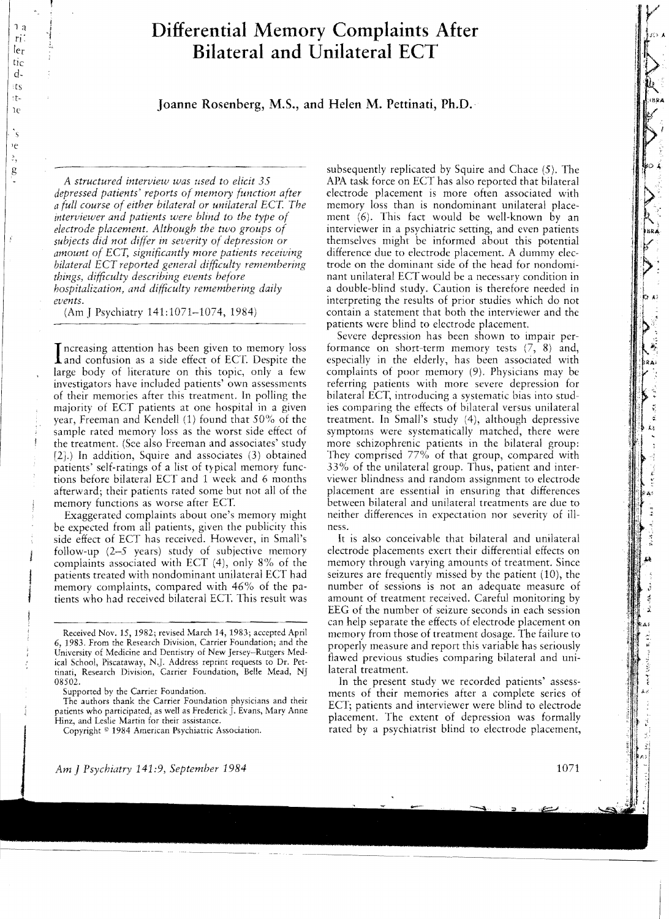# **Differential Memory Complaints After Bilateral and Unilateral ECT**

1e **Joanne Rosenberg, M.S., and Helen M. Pettinati, Ph.D.** 

*A structured interview was used to elicit* 35 *depressed patients' reports of memory function after a full course of either bilateral or unilateral ECT. The interviewer and patients were blind to the type of electrode placement. Although the two groups of subjects did not differ in severity of depression or amount of ECT, significantly more patients receiving bilateral ECT reported general difficulty remembering things, difficulty describing events before hospitalization, and difficulty remembering daily events.* 

(Am J Psychiatry 141:1071-1074, 1984)

Increasing attention has been given to memory loss<br>and confusion as a side effect of ECT. Despite the and confusion as a side effect of ECT. Despite the large body of literature on this topic, only a few investigators have included patients' own assessments of their memories after this treatment. In polling the majority of ECT patients at one hospital in a given year, Freeman and Kendell (1) found that 50% of the sample rated memory loss as the worst side effect of the treatment. (See also Freeman and associates' study [2J.) In addition, Squire and associates (3) obtained patients' self-ratings of a list of typical memory functions before bilateral ECT and 1 week and 6 months afterward; their patients rated some but not all of the memory functions as worse after ECT.

Exaggerated complaints about one's memory might be expected from all patients, given the publicity this side effect of ECT has received. However, in Small's follow-up (2-5 years) study of subjective memory complaints associated with ECT (4), only 8% of the patients treated with nondominant unilateral ECT had memory complaints, compared with 46% of the patients who had received bilateral ECT. This result was subsequently replicated by Squire and Chace (5). The APA task force on ECT has also reported that bilateral electrode placement is more often associated with memory loss than is nondominant unilateral placement (6). This fact would be well-known by an interviewer in a psychiatric setting, and even patients themselves might be informed about this potential difference due to electrode placement. A dummy electrode on the dominant side of the head for nondominant unilateral ECT would be a necessary condition in a double-blind studv. Caution is therefore needed in interpreting the results of prior studies which do not contain a statement that both the interviewer and the patients were blind to electrode placement.

Severe depression has been shown to impair performance on short-term memory tests (7, 8) and, especially in the elderly, has been associated with complaints of poor memory (9). Physicians may be referring patients with more severe depression for bilateral ECT, introducing a systematic bias into studies comparing the effects of bilateral versus unilateral treatment. In Small's study (4), although depressive symptoms were systematically matched, there were more schizophrenic patients in the bilateral group: They comprised 77% of that group, compared with 33% of the unilateral group. Thus, patient and interviewer blindness and random assignment to electrode placement are essential in ensuring that differences between bilateral and unilateral treatments are due to neither differences in expectation nor severity of illness.

It is also conceivable that bilateral and unilateral electrode placements exert their differential effects on memory through varying amounts of treatment. Since seizures are frequently missed by the patient (10), the number of sessions is not an adequate measure of amount of treatment received. Careful monitoring by EEG of the number of seizure seconds in each session can help separate the effects of electrode placement on memory from those of treatment dosage. The failure to properly measure and report this variable has seriously flawed previous studies comparing bilateral and unilateral treatment.

In the present study we recorded patients' assessments of their memories after a complete series of ECT; patients and interviewer were blind to electrode placement. The extent of depression was formally rated by a psychiatrist blind to electrode placement,

Received Nov. 15,1982; revised March l4, 1983; accepted April 6, 1983. From the Research Division, Carrier Foundation; and the University of Medicine and Dentistry of New Jersey~Rutgers Medical School, Piscataway, N.}. Address reprint requests to Dr. Pettinati, Research Division, Carrier Foundation, Belle Mead, NJ 08502.

Supported by the Carrier Foundation.

The authors thank the Carrier Foundation physicians and their patients who participated, as well as Frederick J. Evans, Mary Anne Hinz, and Leslie Martin for their assistance.

Copyright <sup>©</sup> 1984 American Psychiatric Association.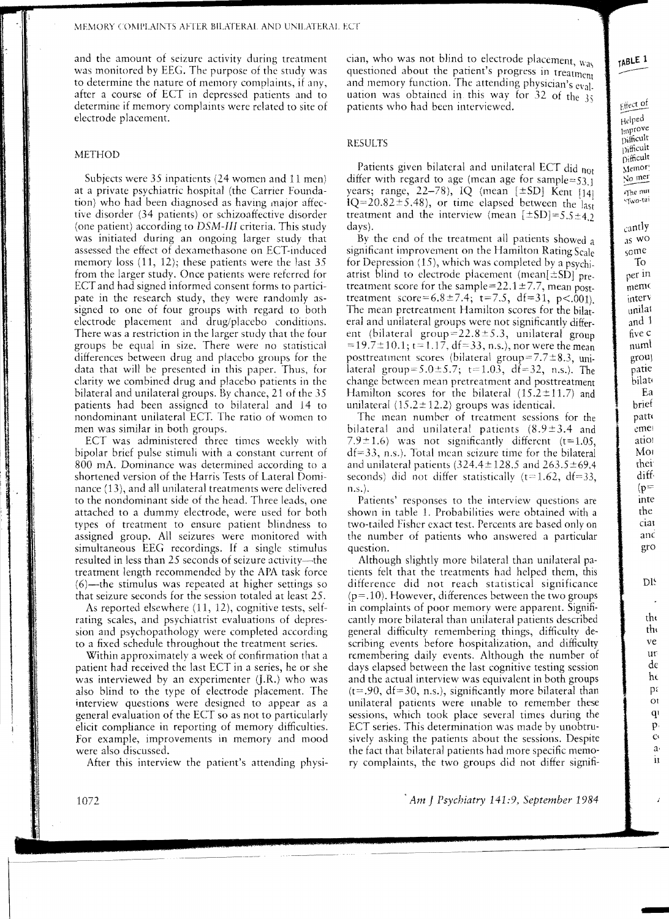and the amount of seizure activity during treatment was monitored by EEG. The purpose of the study was to determine the nature of memory complaints, if any, after a course of ECT in depressed patients and to determine if memory complaints were related to site of electrode placement.

## METHOD

Subjects were 35 inpatients (24 women and 11 men) at a private psychiatric hospital (the Carrier Foundation) who had been diagnosed as having major affective disorder (34 patients) or schizoaffective disorder (one patient) according to *DSM-Ill* criteria. This study was initiated during an ongoing larger study that assessed the effect of dexamethasone on ECT-induced memory loss (11, 12); these patients were the last 35 from the larger study. Once patients were referred for ECT and had signed informed consent forms to participate in the research study, they were randomly assigned to one of four groups with regard to both electrode placement and drug/placebo conditions. There was a restriction in the larger study that the four groups be equal in size. There were no statistical differences between drug and placebo groups for the data that will be presented in this paper. Thus, for clarity we combined drug and placebo patients in the bilateral and unilateral groups. By chance, 21 of the 35 patients had been assigned to bilateral and 14 to nondominant unilateral ECT. The ratio of women to men was similar in both groups.

ECT was administered three times weeklv with bipolar brief pulse stimuli with a constant current of 800 mA. Dominance was determined according to a shortened version of the Harris Tests of Lateral Dominance (13), and all unilateral treatments were delivered to the nondominant side of the head. Three leads, one attached to a dummy electrode, were used for both types of treatment to ensure patient blindness to assigned group. All seizures were monitored with simultaneous EEG recordings. If a single stimulus resulted in less than 25 seconds of seizure activity—the treatment length recommended by the APA task force  $(6)$ —the stimulus was repeated at higher settings so that seizure seconds for the session totaled at least 25.

As reported elsewhere (11, 12), cognitive tests, selfrating scales, and psychiatrist evaluations of depression and psychopathology were completed according to a fixed schedule throughout the treatment series.

Within approximately a week of confirmation that a patient had received the last ECT in a series, he or she was interviewed by an experimenter (J.R.) who was also blind to the type of electrode placement. The interview questions were designed to appear as a general evaluation of the ECT so as not to particularly elicit compliance in reporting of memory difficulties. For example, improvements in memory and mood were also discussed.

After this interview the patient's attending physi-

cian, who was not blind to electrode placement,  $w_{as}$ questioned about the patient's progress in treatment and memory function. The attending physician's eval. uation was obtained in this way for  $32$  of the  $35$ patients who had been interviewed.

# RESULTS

Patients given bilateral and unilateral ECT did not differ with regard to age (mean age for sample= $53.1$ ) years; range,  $22-78$ ), IQ (mean  $[\pm SD]$  Kent  $[14]$  $IO=20.82±5.48$ ), or time elapsed between the  $l_{\text{ast}}$ treatment and the interview (mean *[±SD]=5.S±4.2*  days).

By the end of the treatment all patients showed a significant improvement on the Hamilton Rating Scale for Depression (15), which was completed by a psychi. atrist blind to electrode placement (mean[ $\pm$ SD] pretreatment score for the sample=22.1  $\pm$ 7.7, mean posttreatment  $score=6.8 \pm 7.4$ ;  $t=7.5$ ,  $df=31$ ,  $p<.001$ ). The mean pretreatment Hamilton scores for the bilateral and unilateral groups were not significantly different (bilateral group=22.8 $\pm$ 5.3, unilateral group  $=19.7\pm10.1$ ; t= 1.17, df=33, n.s.), nor were the mean posttreatment scores (bilateral group=7.7±8.3, unilateral group= $5.0 \pm 5.7$ ;  $t= 1.03$ , df=32, n.s.). The change between mean pretreatment and posttreatment Hamilton scores for the bilateral  $(15.2 \pm 11.7)$  and unilateral  $(15.2 \pm 12.2)$  groups was identical.

The mean number of treatment sessions for the bilateral and unilateral patients  $(8.9 \pm 3.4)$  and 7.9 $\pm$ 1.6) was not significantly different (t=1.05,  $df=33$ , n.s.). Total mean seizure time for the bilateral and unilateral patients  $(324.4 \pm 128.5 \text{ and } 263.5 \pm 69.4 \text{)}$ seconds) did not differ statistically  $(t=1.62, dt=33,$ n.s.).

Patients' responses to the interview questions are shown in table 1. Probabilities were obtained with a two-tailed Fisher exact test. Percents are based only on the number of patients who answered a particular question.

Although slightly more bilateral than unilateral patients felt that the treatments had helped them, this difference did not reach statistical significance  $(p=.10)$ . However, differences between the two groups in complaints of poor memory were apparent. Significantly more bilateral than unilateral patients described general difficulty remembering things, difficulty describing events before hospitalization, and difficulty remembering daily events. Although the number of days elapsed between the last cognitive testing session and the actual interview was equivalent in both groups  $(t=.90, df=30, n.s.),$  significantly more bilateral than unilateral patients were unable to remember these sessions, which took place several times during the ECT series. This determination was made by unobtrusively asking the patients about the sessions. Despite the fact that bilateral patients had more specific memory complaints, the two groups did not differ signifi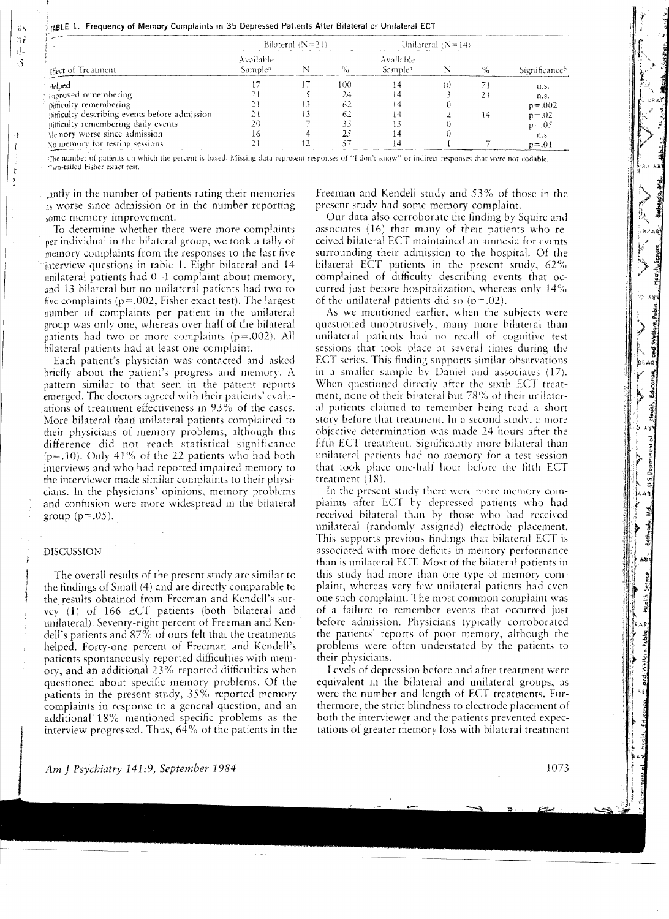|  |  |  | <sub>14</sub> BLE 1.Frequency of Memory Complaints in 35 Depressed Patients After Bilateral or Unilateral ECT |  |  |  |  |  |  |  |
|--|--|--|---------------------------------------------------------------------------------------------------------------|--|--|--|--|--|--|--|
|--|--|--|---------------------------------------------------------------------------------------------------------------|--|--|--|--|--|--|--|

|                                               | Bilateral $(N=21)$               |  |                   | Unilateral $(N=14)$              |   |               |
|-----------------------------------------------|----------------------------------|--|-------------------|----------------------------------|---|---------------|
| Fifect of Treatment                           | Available<br>Sample <sup>a</sup> |  | $\gamma_{\alpha}$ | Available<br>Sample <sup>3</sup> |   | Significanceb |
| Helped                                        |                                  |  | 100               | ! 4                              | Ю | n.s.          |
| <sub>inproved</sub> remembering               |                                  |  |                   | 14                               |   | n.s.          |
| pifficulty remembering                        |                                  |  | 62                | 14                               |   | $p = 0.002$   |
| Difficulty describing events before admission |                                  |  | 62                | 14                               |   | $p = .02$     |
| pifficulty remembering daily events           |                                  |  |                   |                                  |   | $p = .05$     |
| Memory worse since admission                  | I٥                               |  |                   |                                  |   | n.s.          |
| No memory for testing sessions                |                                  |  |                   |                                  |   | $p = .01$     |

The numbet of patients on which the percent is based. Missing data represent responses of "I don't know" or indirect responses that were not codable. ~1\vo-tailed Fisher exact test,

cantly in the number of patients rating their memories JS worse since admission or in the number reporting some memory improvement.

To determine whether tbere were more complaints rer individual in the bilateral group, we took a tally of memory complaints from the responses to the last fiye interview questions in table 1. Eight bilateral and 14 unilateral patients had 0-1 complaint about memory, and 13 bilateral but no unilateral patients had two to five complaints ( $p=.002$ , Fisher exact test). The largest number of complaints per patient in the unilateral group was only one, whereas over half of the bilateral patients had two or more complaints (p=.002). All bilateral patients had at least one complaint.

Each patient's physician was contacted and asked briefly about the patient's progress and memory. A pattern similar to that seen in the patient reports emerged. The doctors agreed with their patients' evaluations of treatment effectiveness in 93% of the cases. More bilateral than unilateral patients complained to their physicians of memory problems, although this difference did not reach statistical significance  $(p=.10)$ . Only 41% of the 22 patients who had both interviews and who had reported impaired memory to the interviewer made similar complaints to their physicians. In the physicians' opinions, memory problems and confusion were more widespread in tbe bilateral group  $(p=.05)$ .

### DISCUSSION

The overall results of the present study are similar to the findings of Small (4) and are directly comparahle to the results obtained from Freeman and Kendell's survey .(1) of 166 ECT patients (both bilateral and unilateral). Seventy-eight percent of Freeman and Kendell's patients and 87% of ours felt that the treatments helped. Forty-one percent of Freeman and Kendell's patients spontaneously reported difficulties with memory, and an additional 23% reported difficulties when questioned about specific memory problems. Of the patients in the present study, 35% reported memory complaints in response to a general question, and an additional 18% mentioned specific problems as the interview progressed. Thus, 64% of the patients in the

Freeman and Kendell study and 53% of those in the present study had some memory complaint.

Our data also corroborate the finding by Squire and associates  $(16)$  that many of their patients who received bilateral ECT maintained an amnesia for events surrounding their admission to the hospital. Of the bilateral ECT patients in the present study, 62% complained of difficulty descrihing events that occurred just before hospitalization, whereas only 14% of the unilateral patients did so  $(p=.02)$ .

As we mentioned earlier, when the suhjects were questioned unobtrusively, many more bilateral than unilateral patients had no recall of cognitive test sessions that took place at several times during the ECT series. This finding supports similar observations in a smaller sample by Daniel and associates  $(17)$ . When questioned directly after tbe sixth ECT treatment, none of their bilateral but 78% of their unilateral patients claimed to remember heing read a short story before that treatment. In a second study, a more objective determination was made 24 hours after the fifth ECT treatment. Significantly more bilateral than unilateral patients had no memory for a test session that took place one-half hour hefore the fifth ECT treatment (IX).

In the present study there were more memory complaints after ECT by depressed patients who had received bilateral than by those who had received unilateral (randomly assigned) electrode placement. This supports previous findings that bilateral ECT is associated with more deficits in memory performance than is unilateral ECT. Most of the bilateral patients in this study had more than one type of memory complaint, whereas very few unilateral patients had even one such complaint. The m0st common complaint was of a failure to remember events that occurred just before admission. Physicians typically corroborated the patients' reports of poor memory, although tbe problems were often understated by the patients to their physicians.

Levels of depression before and after treatment were equivalent in the bilateral and unilateral groups, as were the number and length of ECT treatments. Furthermore, the strict blindness to electrode placement of both the interviewer and the patients prevented expectations of greater memory loss with bilateral treatment